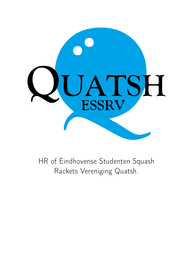<span id="page-0-0"></span>

HR of Eindhovense Studenten Squash Rackets Vereniging Quatsh.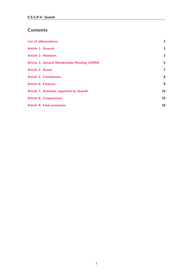# Contents

| <b>List of abbreviations</b>                       | $\overline{2}$  |
|----------------------------------------------------|-----------------|
| Article 1: General                                 | 3               |
| <b>Article 2: Members</b>                          | 3               |
| <b>Article 3: General Membership Meeting (GMM)</b> | 5               |
| <b>Article 4: Board</b>                            | 7               |
| <b>Article 5: Committees</b>                       | 8               |
| <b>Article 6: Finances</b>                         | 9               |
| <b>Article 7: Activities organized by Quatsh</b>   | 10              |
| <b>Article 8: Cooperations</b>                     | 10 <sup>°</sup> |
| <b>Article 9: Final provisions</b>                 | 10              |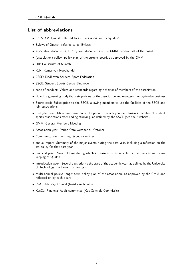## List of abbreviations

- E.S.S.R.V. Quatsh, referred to as 'the association' or 'quatsh'
- Bylaws of Quatsh, referred to as 'Bylaws'
- association documents: HR, bylaws, documents of the GMM, decision list of the board
- (association) policy: policy plan of the current board, as approved by the GMM
- HR: Houserules of Quatsh
- KvK: Kamer van Koophandel
- ESSF: Eindhoven Student Sport Federation
- SSCE: Student Sports Centre Eindhoven
- code of conduct: Values and standards regarding behavior of members of the association
- Board: a governing body that sets policies for the association and manages the day-to-day business
- Sports card: Subscription to the SSCE, allowing members to use the facilities of the SSCE and join associations
- 'five year rule': Maximum duration of the period in which you can remain a member of student sports associations after ending studying, as defined by the SSCE (see their website)
- GMM: General Members Meeting
- Association year: Period from October till October
- Communication in writing: typed or written
- annual report: Summary of the major events during the past year, including a reflection on the set policy for that past year
- financial year: Period of time during which a treasurer is responsible for the finances and bookkeeping of Quatsh
- introduction week: Several days prior to the start of the academic year, as defined by the University of Technology Eindhoven (or Fontys)
- Multi annual policy: longer term policy plan of the association, as approved by the GMM and reflected on by each board
- RvA : Advisory Council (Raad van Advies)
- KasCo: Financial Audit committee (Kas Controle Commissie)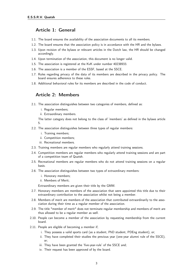### Article 1: General

- 1.1. The board ensures the availability of the association documents to all its members.
- 1.2. The board ensures that the association policy is in accordance with the HR and the bylaws.
- 1.3. Upon revision of the bylaws or relevant articles in the Dutch law, the HR should be changed accordingly.
- 1.4. Upon termination of the association, this document is no longer valid.
- 1.5. The association is registered at the KvK under number 40238933.
- 1.6. The association is a member of the ESSF, based at the SSCE.
- 1.7. Rules regarding privacy of the data of its members are described in the privacy policy. The board ensures adherence to these rules.
- <span id="page-3-0"></span>1.8. Additional behavioral rules for its members are described in the code of conduct.

#### Article 2: Members

- 2.1. The association distinguishes between two categories of members, defined as:
	- i. Regular members;
	- ii. Extraordinary members.

The latter category does not belong to the class of 'members' as defined in the bylaws article 5.

- 2.2. The association distinguishes between three types of regular members:
	- i. Training members;
	- ii. Competition members;
	- iii. Recreational members.
- 2.3. Training members are regular members who regularly attend training sessions.
- 2.4. Competition members are regular members who regularly attend training sessions and are part of a competition team of Quatsh.
- 2.5. Recreational members are regular members who do not attend training sessions on a regular basis.
- 2.6. The association distinguishes between two types of extraordinary members:
	- i. Honorary members;
	- ii. Members of Merit;

Extraordinary members are given their title by the GMM.

- 2.7. Honorary members are members of the association that were appointed this title due to their extraordinary contribution to the association whilst not being a member.
- 2.8. Members of merit are members of the association that contributed extraordinarily to the association during their time as a regular member of the association.
- 2.9. The title "member of merit" does not terminate regular membership and members of merit are thus allowed to be a regular member as well.
- 2.10. People can become a member of the association by requesting membership from the current board.
- 2.11. People are eligible of becoming a member if;
	- i. They possess a valid sports card (as a student, PhD student, PDEng student), or;
	- ii. They have completed their studies the previous year (one-year alumni rule of the SSCE), or;
	- iii. They have been granted the 'five-year-rule' of the SSCE and;
	- iv. Their request has been approved of by the board.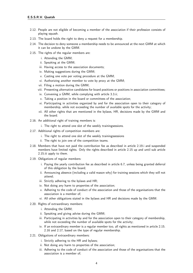- 2.12. People are not eligible of becoming a member of the association if their profession consists of playing squash.
- 2.13. The board holds the right to deny a request for a membership.
- 2.14. The decision to deny someone a membership needs to be announced at the next GMM at which it can be undone by the GMM.
- 2.15. The rights of the regular members are:
	- i. Attending the GMM;
	- ii. Speaking at the GMM;
	- iii. Having access to the association documents;
	- iv. Making suggestions during the GMM;
	- v. Casting one vote per voting procedure at the GMM;
	- vi. Authorizing another member to vote by proxy at the GMM;
	- vii. Filing a motion during the GMM;
	- viii. Presenting alternative candidates for board positions or positions in association committees;
	- ix. Convening a GMM, while complying with article 3.3.ii;
	- x. Taking a position in the board or committees of the association;
	- xi. Participating in activities organized by and for the association open to their category of membership, while not exceeding the number of available spots for the activity;
	- xii. All other rights that are mentioned in the bylaws, HR, decisions made by the GMM and the board.
- 2.16. An additional right of training members is:
	- i. The right to attend one slot of the weekly trainingsessions.
- 2.17. Additional rights of competition members are:
	- i. The right to attend one slot of the weekly trainingssessions
	- ii. The right to join one of the competition teams.
- 2.18. Members that have not paid the contribution fee as described in article 2.19.i and suspended members have limited rights. Only the rights described in article 2.15 up and until sub article 2.15.iii apply to them.
- 2.19. Obligations of regular members:
	- i. Paying the yearly contribution fee as described in article 6.7, unless being granted deferral of this obligation by the board;
	- ii. Announcing absence (including a valid reason why) for training sessions which they will not attend;
	- iii. Strictly adhering to the bylaws and HR;
	- iv. Not doing any harm to properties of the association;
	- v. Adhering to the code of conduct of the association and those of the organisations that the association is a member of;
	- vi. All other obligations stated in the bylaws and HR and decisions made by the GMM.
- 2.20. Rights of extraordinary members:
	- i. Attending the GMM;
	- ii. Speaking and giving advise during the GMM;
	- iii. Participating in activities by and for the association open to their category of membership, while not exceeding the number of available spots for the activity:
	- iv. If an extraordinary member is a regular member too, all rights as mentioned in article 2.15. 2.16 and 2.17, based on the type of regular membership.
- 2.21. Obligations of extraordinary members:
	- i. Strictly adhering to the HR and bylaws;
	- ii. Not doing any harm to properties of the association;
	- iii. Adhering to the code of conduct of the association and those of the organisations that the association is a member of;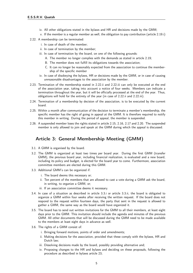- iv. All other obligations stated in the bylaws and HR and decisions made by the GMM;
- v. If the member is a regular member as well, the obligation to pay contribution (article 2.19.i)
- 2.22. A membership can be terminated:
	- i. In case of death of the member;
	- ii. In case of termination by the member;
	- iii. In case of termination by the board, on one of the following grounds:
		- A. The member no longer complies with the demands as stated in article 2.19;
		- B. The member does not fulfill its obligations towards the association;
		- C. It can no longer be reasonably expected from the association to continue the membership of the specific member
	- iv. In case of disobeying the bylaws, HR or decisions made by the GMM, or in case of causing unreasonable disadvantages to the association by the member.
- 2.23. Termination of the membership stated in 2.22.ii and 2.22.iii can only be executed at the end of the association year, taking into account a notice of four weeks. Members can indicate a termination throughout the year, but it will be officially processed at the end of the year. Thus, obligations will hold for the entirety of the year (in case of 2.22.ii and 2.22.iii).
- 2.24. Termination of a membership by decision of the association, is to be executed by the current board.
- 2.25. Within a month after communication of the decision to terminate a member's membership, the specific member has the right of going in appeal at the GMM. It is therefore required to notify this member in writing. During the period of appeal, the member is suspended.
- <span id="page-5-0"></span>2.26. A suspended member loses the rights stated in article 2.15, 2.16, 2.17 and 2.20. The suspended member is only allowed to join and speak at the GMM during which the appeal is discussed.

## Article 3: General Membership Meeting (GMM)

- 3.1. A GMM is organised by the board.
- 3.2. The GMM is organized at least two times per board year. During the first GMM (transfer GMM), the previous board year, including financial realization, is evaluated and a new board, including its policy and budget, is elected for the board year to come. Furthermore, association committee members are elected during this GMM.
- 3.3. Additional GMM's can be organized if:
	- i. The board deems this necessary or;
	- ii. Ten percent of the members that are allowed to cast a vote during a GMM ask the board, in writing, to organize a GMM, or;
	- iii. If an association committee deems it necessary.
- 3.4. In case of a situation as described in article 3.3.i or article 3.3.ii, the board is obligated to organize a GMM within four weeks after receiving the written request. If the board does not respond to the request within fourteen days, the party that sent in the request is allowed to gather a GMM, the same way as the board would have organized it.
- 3.5. The board has to send out written invitations for the GMM to all their members, at least eight days prior to the GMM. This invitation should include the agenda and minutes of the previous GMM. All other documents that will be discussed during the GMM need to be made available to the members at least eight days in advance as well.
- 3.6. The rights of a GMM consist of:
	- i. Bringing forward motions, points of order and amendments;
	- ii. Making decisions for the association, provided that these comply with the bylaws, HR and Dutch law;
	- iii. Dissolving decisions made by the board, possibly providing alternative and;
	- iv. Proposing changes to the HR and bylaws and deciding on these proposals, following the procedure as described in bylaws article 23;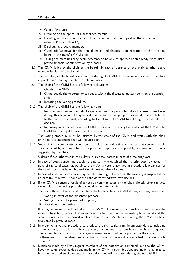- v. Calling for a vote;
- vi. Deciding on the appeal of a suspended member;
- vii. Deciding on the suspension of a board member and the appeal of the suspended board member (See article 4.17);
- viii. Discharging a board member;
- ix. Giving (dis)approval for the annual report and financial administration of the resigning board at the transfer GMM and;
- x. Taking the measures they deem necessary to be able to approve of an already twice disapproved financial administration by a board.
- 3.7. The GMM is led by the chair of the board. In case of absence of the chair, another board member fulfils the role of chair.
- 3.8. The secretary of the board takes minutes during the GMM. If the secretary is absent, the chair appoints an attending member to take minutes.
- 3.9. The chair of the GMM has the following obligations:
	- i. Chairing the GMM;
	- ii. Giving people the opportunity to speak, within the discussed matter (point on the agenda), and;
	- iii. Initiating the voting procedure.
- 3.10. The chair of the GMM has the following rights:
	- i. Refusing an attendee the right to speak in case this person has already spoken three times during this topic on the agenda if this person no longer provides input that contributes to the matter discussed, according to the chair. The GMM has the right to overrule this decision;
	- ii. Removing an attendee from the GMM, in case of disturbing the 'order' of the GMM. The GMM has the right to overrule this decision.
- 3.11. The voting procedure must be initiated by the chair of the GMM and starts with the chair providing the statement that will be voted on.
- 3.12. Votes that concern events or matters take place by oral voting and votes that concern people are conducted by written voting. It is possible to approve a proposal by acclamation, if this is suggested by the chair.
- 3.13. Unless defined otherwise in the bylaws, a proposal passes in case of a majority vote.
- 3.14. In case of votes concerning people, the person who obtained the majority vote is elected. If none of the candidates has obtained the majority vote, a new voting procedure is organised for the candidates that have obtained the highest number of votes.
- 3.15. In case of a second vote concerning people resulting in tied votes, the meeting is suspended for at least five minutes. If none of the candidates withdraws, fate decides.
- 3.16. If the GMM disputes a result of a vote as communicated by the chair directly after the vote taking place, the voting procedure should be initiated again.
- 3.17. There are three options for all members eligible to vote at a GMM during a voting procedure:
	- i. Voting in favor of the presented proposal;
	- ii. Voting against the presented proposal;
	- iii. Abstaining from voting.
- 3.18. If a regular member will not attend the GMM, this member can authorize another regular member to vote by proxy. This member needs to be authorized in writing beforehand and the secretary needs to be informed of this authorization. Members attending the GMM can have two votes by proxy at most.
- 3.19. In order for a voting procedure to produce a valid result, a minimum attendance, including authorizations, of regular members equalling the amount of current board members is required. There need to be at least as many regular members not holding a position in the current board as there are board members. An exception is made for the situation described in bylaws article 18 and 23.
- <span id="page-6-0"></span>3.20. Decisions made by all the regular members of the association combined, outside the GMM, have the same power as decisions made at the GMM. If such decisions are made, they need to be communicated to the secretary. These decisions will be stated during the next GMM.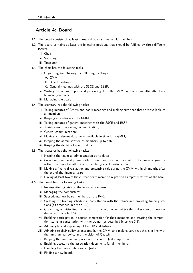### Article 4: Board

- 4.1. The board consists of at least three and at most five regular members.
- 4.2. The board contains at least the following positions that should be fulfilled by three different people:
	- i. Chair
	- ii. Secretary
	- iii. Treasurer
- 4.3. The chair has the following tasks:
	- i. Organizing and chairing the following meetings:
		- A. GMM;
		- B. Board meetings;
		- C. General meetings with the SSCE and ESSF.
	- ii. Writing the annual report and presenting it to the GMM, within six months after their financial year ends;
	- iii. Managing the board.
- 4.4. The secretary has the following tasks:
	- i. Taking minutes of GMMs and board meetings and making sure that these are available to all members;
	- ii. Keeping attendance at the GMM;
	- iii. Taking minutes of general meetings with the SSCE and ESSF;
	- iv. Taking care of incoming communication;
	- v. General communication;
	- vi. Making all relevant documents available in time for a GMM;
	- vii. Keeping the administration of members up to date;
	- viii. Keeping the decision list up to date.
- 4.5. The treasurer has the following tasks:
	- i. Keeping the financial administration up to date;
	- ii. Collecting membership fees within three months after the start of the financial year, or within three months after a new member joins the association;
	- iii. Making a financial realization and presenting this during the GMM within six months after the end of the financial year;
	- iv. Having at least two of the current board members registered as representatives at the bank.
- 4.6. The board has the following tasks:
	- i. Representing Quatsh at the introduction week;
	- ii. Managing the committees;
	- iii. Subscribing new board members at the KvK;
	- iv. Creating the training schedule in consultation with the trainer and providing training sessions (as described in article 7.2);
	- v. Organizing activities/tournaments or managing the committee that takes care of these (as described in article 7.5);
	- vi. Enabling participation in squash competition for their members and creating the competition teams in consultation with the trainer (as described in article 7.4);
	- vii. Adhering to and explaining of the HR and bylaws;
	- viii. Adhering to their policy as accepted by the GMM, and making sure that this is in line with the multi annual policy and the vision of Quatsh;
	- ix. Keeping the multi annual policy and vision of Quatsh up to date;
	- x. Enabling access to the association documents for all members;
	- xi. Handling the public relations of Quatsh;
	- xii. Finding a new board.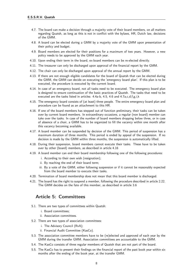- 4.7. The board can make a decision through a majority vote of their board members, on all matters regarding Quatsh, as long as this is not in conflict with the bylaws, HR, Dutch law, decisions of the GMM.
- 4.8. A board can be elected during a GMM by a majority vote of the GMM upon presentation of their policy and budget.
- 4.9. Board members are elected for their positions for a maximum of two years. However, a new policy needs to be approved by the GMM each year.
- 4.10. Upon ending their term in the board, ex-board members can be re-elected directly.
- 4.11. The treasurer can only be discharged upon approval of the financial report by the GMM.
- 4.12. The chair can only be discharged upon approval of the annual report by the GMM.
- 4.13. If there are not enough eligible candidates for the board of Quatsh that can be elected during the GMM, the GMM can decide on executing the 'emergency board plan'. If this plan is to be executed, the procedure is executed by the current board.
- 4.14. In case of an emergency board, not all tasks need to be executed. The emergency board plan is designed to ensure continuation of the basic practices of Quatsh. The tasks that need to be executed are the tasks listed in articles: 4.4a-b, 4.5, 4.6 and 4.7a,c,d,f,g,i,k
- 4.15. The emergency board consists of (at least) three people. The entire emergency board plan and procedure can be found as an attachment to this HR.
- 4.16. If one of the board members has stepped out of function preliminary, their tasks can be taken over by current board members. In extraordinary occasions, a regular (non board) member can take over the tasks. In case of the number of board members dropping below three, or in case of absence of a chair, a GMM has to be organized to fill the vacancy within one month after this vacancy becoming available.
- 4.17. A board member can be suspended by decision of the GMM. This period of suspension has a maximum duration of three months. This period is ended by appeal of the suspension. If no decision is made by the GMM within three months, the suspension is automatically lifted.
- 4.18. During their suspension, board members cannot execute their tasks. These have to be taken over by other (board) members, as described in article 4.16
- 4.19. A board member can end their board membership following one of the following procedures:
	- i. According to their own wish (resignation);
	- ii. By reaching the end of their board term;
	- iii. By a vote of the GMM, either following suspension or if it cannot be reasonably expected from the board member to execute their tasks.
- 4.20. Termination of board membership does not mean that this board member is discharged.
- <span id="page-8-0"></span>4.21. The board has the right to suspend a member, following the procedure described in article 2.22. The GMM decides on the fate of this member, as described in article 3.6

#### Article 5: Committees

- 5.1. There are two types of committees within Quatsh:
	- i. Board committees;
	- ii. Association committees.
- 5.2. There are two types of association committees:
	- i. The Advisory Council (RvA);
	- ii. Financial Audit Committee (KasCo).
- 5.3. The association committee members have to be (re)elected and approved of each year by the GMM during the transfer GMM. Association committees are accountable to the GMM.
- 5.4. The KasCo consists of three regular members of Quatsh that are not part of the board.
- 5.5. The KasCo has to present their findings on the financial report of the past book year within six months after the ending of the book year, at the transfer GMM.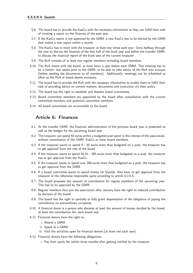- 5.6. The board has to provide the KasCo with the necessary information so they can fulfill their task of creating a report on the finances of the past year.
- 5.7. If the KasCo report is not approved by the GMM, a new KasCo has to be elected by the GMM that makes a new report within a month.
- 5.8. The KasCo has to meet with the treasurer at least two times each year. Once halfway through the year to discuss the finances of the first half of the book year and before the transfer GMM, to discuss the financial report of the book year of the current treasurer.
- 5.9. The RvA consists of at least two regular members excluding board members.
- 5.10. The RvA meets with the board, at least twice a year before each GMM. This meeting has to be a month- two weeks prior to the GMM, to be able to take advice of the RvA into account (before sending the documents to all members). Additionally, meetings can be scheduled as often as the RvA or board deems necessary.
- 5.11. The board has to provide the RvA with the necessary information to enable them to fulfill their task of providing advice on current matters, documents and (execution of) their policy.
- 5.12. The board has the right to establish and dissolve board committees.
- 5.13. Board committee members are appointed by the board after consultation with the current committee members and potential committee members.
- <span id="page-9-0"></span>5.14. All board committees are accountable to the board.

### Article 6: Finances

- 6.1. At the transfer GMM, the financial administration of the previous board year is presented as well as the budget for the upcoming board year.
- 6.2. The treasurer can spend 50 euros within a budgeted post spent in the interest of the association, without consultation of the GMM, KasCo or other board members.
- 6.3. If the treasurer wants to spend 0 50 euros more than budgeted on a post, the treasurer has to get approval from the rest of the board.
- 6.4. If the treasurer wants to spend 50,01 300 euros more than budgeted on a post, the treasurer has to get approval from the KasCo.
- 6.5. If the treasurer wants to spend over 300 euros more than budgeted on a post, the treasurer has to get approval from the GMM.
- 6.6. If a board committee wants to spend money for Quatsh, they have to get approval from the treasurer or the otherwise responsible party according to article 6.2-6.5.
- 6.7. The board proposes the amount of contribution for regular members of the upcoming year. This has to be approved by the GMM.
- 6.8. Regular members that join the association after January have the right to reduced contribution by decision of the board.
- 6.9. The board has the right to partially or fully grant dispensation of the obligation of paying the contribution on extraordinary occasions.
- 6.10. A financial donor is a person who donates at least the amount of money decided by the board, at least the contribution fee, each board year.
- 6.11. Financial donors have the right to:
	- i. Attend a GMM;
	- ii. Speak at a GMM;
	- iii. Visit the activities open for financial donors (at least one each year).
- <span id="page-9-1"></span>6.12. Financial donors have the following obligations:
	- i. Pay their yearly fee within three months after getting notified by the treasurer.